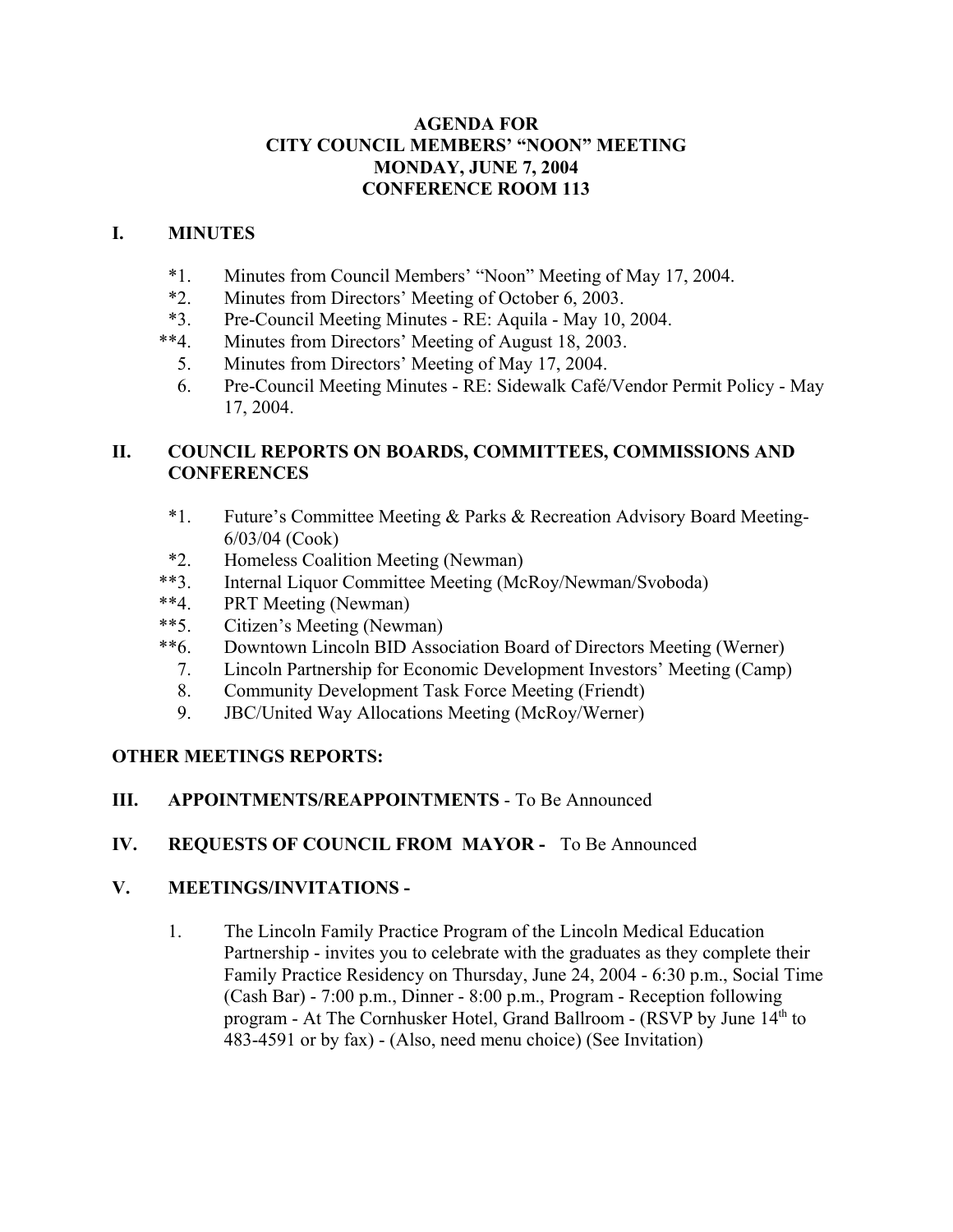## **AGENDA FOR CITY COUNCIL MEMBERS' "NOON" MEETING MONDAY, JUNE 7, 2004 CONFERENCE ROOM 113**

## **I. MINUTES**

- \*1. Minutes from Council Members' "Noon" Meeting of May 17, 2004.
- \*2. Minutes from Directors' Meeting of October 6, 2003.
- \*3. Pre-Council Meeting Minutes RE: Aquila May 10, 2004.
- \*\*4. Minutes from Directors' Meeting of August 18, 2003.
	- 5. Minutes from Directors' Meeting of May 17, 2004.
	- 6. Pre-Council Meeting Minutes RE: Sidewalk Café/Vendor Permit Policy May 17, 2004.

# **II. COUNCIL REPORTS ON BOARDS, COMMITTEES, COMMISSIONS AND CONFERENCES**

- \*1. Future's Committee Meeting & Parks & Recreation Advisory Board Meeting-6/03/04 (Cook)
- \*2. Homeless Coalition Meeting (Newman)
- \*\*3. Internal Liquor Committee Meeting (McRoy/Newman/Svoboda)
- \*\*4. PRT Meeting (Newman)
- \*\*5. Citizen's Meeting (Newman)
- \*\*6. Downtown Lincoln BID Association Board of Directors Meeting (Werner)
	- 7. Lincoln Partnership for Economic Development Investors' Meeting (Camp)
	- 8. Community Development Task Force Meeting (Friendt)
	- 9. JBC/United Way Allocations Meeting (McRoy/Werner)

# **OTHER MEETINGS REPORTS:**

**III. APPOINTMENTS/REAPPOINTMENTS** - To Be Announced

# **IV. REQUESTS OF COUNCIL FROM MAYOR -** To Be Announced

# **V. MEETINGS/INVITATIONS -**

1. The Lincoln Family Practice Program of the Lincoln Medical Education Partnership - invites you to celebrate with the graduates as they complete their Family Practice Residency on Thursday, June 24, 2004 - 6:30 p.m., Social Time (Cash Bar) - 7:00 p.m., Dinner - 8:00 p.m., Program - Reception following program - At The Cornhusker Hotel, Grand Ballroom - (RSVP by June 14th to 483-4591 or by fax) - (Also, need menu choice) (See Invitation)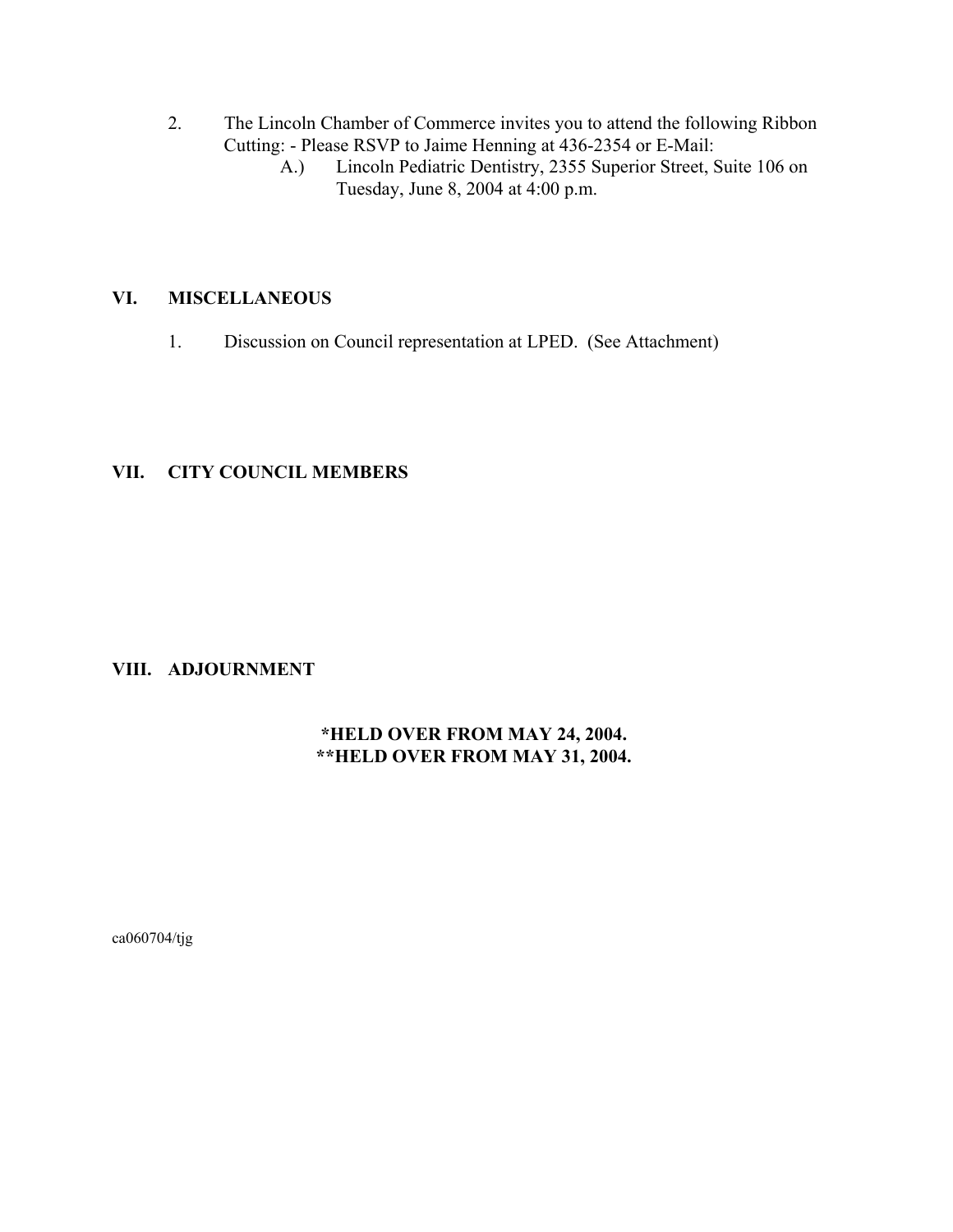- 2. The Lincoln Chamber of Commerce invites you to attend the following Ribbon Cutting: - Please RSVP to Jaime Henning at 436-2354 or E-Mail:
	- A.) Lincoln Pediatric Dentistry, 2355 Superior Street, Suite 106 on Tuesday, June 8, 2004 at 4:00 p.m.

#### **VI. MISCELLANEOUS**

1. Discussion on Council representation at LPED. (See Attachment)

## **VII. CITY COUNCIL MEMBERS**

## **VIII. ADJOURNMENT**

## **\*HELD OVER FROM MAY 24, 2004. \*\*HELD OVER FROM MAY 31, 2004.**

ca060704/tjg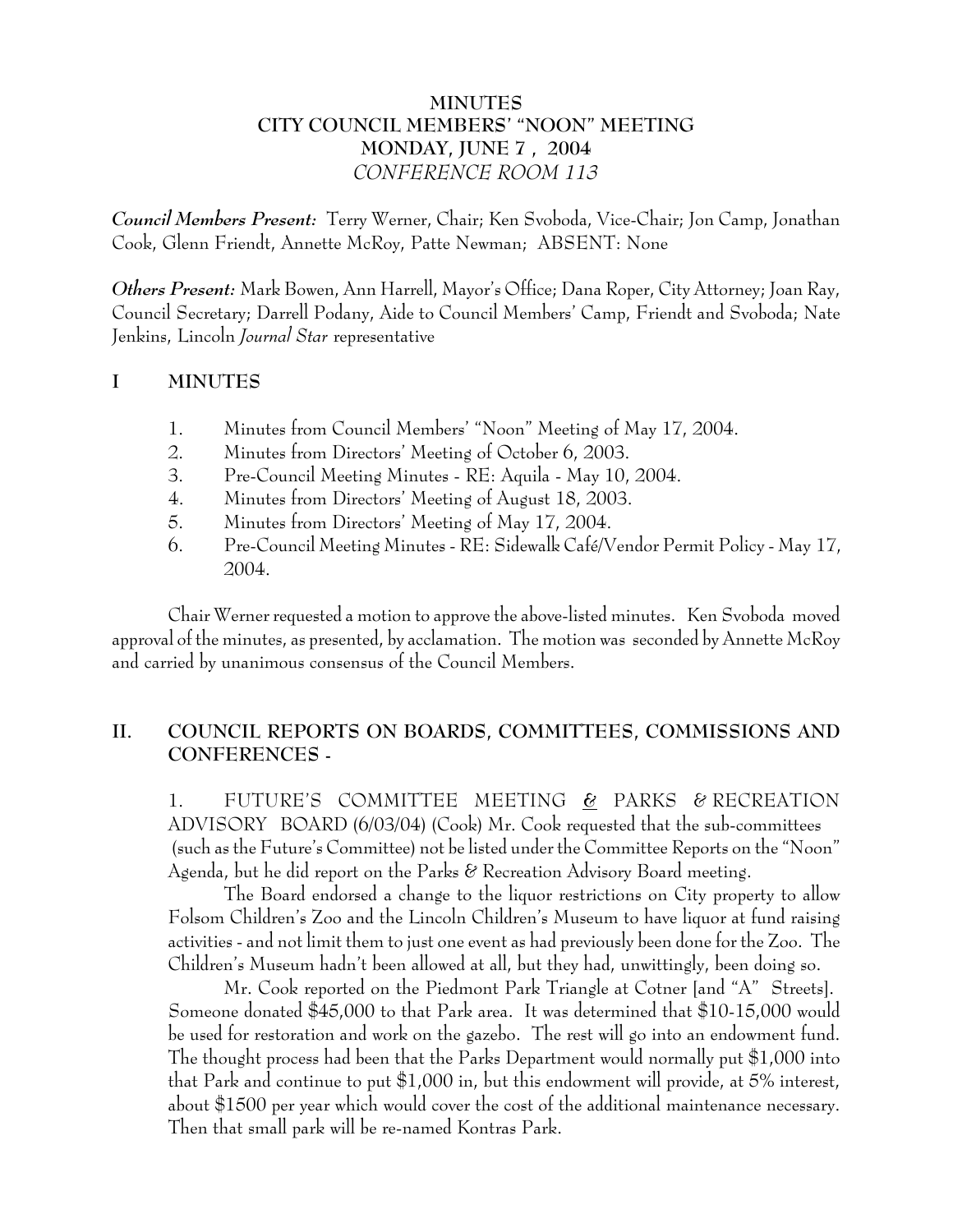## **MINUTES CITY COUNCIL MEMBERS' "NOON" MEETING MONDAY, JUNE 7 , 2004** *CONFERENCE ROOM 113*

*Council Members Present:* Terry Werner, Chair; Ken Svoboda, Vice-Chair; Jon Camp, Jonathan Cook, Glenn Friendt, Annette McRoy, Patte Newman; ABSENT: None

*Others Present:* Mark Bowen, Ann Harrell, Mayor's Office; Dana Roper, City Attorney; Joan Ray, Council Secretary; Darrell Podany, Aide to Council Members' Camp, Friendt and Svoboda; Nate Jenkins, Lincoln *Journal Star* representative

## **I MINUTES**

- 1. Minutes from Council Members' "Noon" Meeting of May 17, 2004.
- 2. Minutes from Directors' Meeting of October 6, 2003.
- 3. Pre-Council Meeting Minutes RE: Aquila May 10, 2004.
- 4. Minutes from Directors' Meeting of August 18, 2003.
- 5. Minutes from Directors' Meeting of May 17, 2004.
- 6. Pre-Council Meeting Minutes RE: Sidewalk Café/Vendor Permit Policy May 17, 2004.

Chair Werner requested a motion to approve the above-listed minutes. Ken Svoboda moved approval of the minutes, as presented, by acclamation. The motion was seconded by Annette McRoy and carried by unanimous consensus of the Council Members.

# **II. COUNCIL REPORTS ON BOARDS, COMMITTEES, COMMISSIONS AND CONFERENCES -**

1. FUTURE'S COMMITTEE MEETING **&** PARKS & RECREATION ADVISORY BOARD (6/03/04) (Cook) Mr. Cook requested that the sub-committees (such as the Future's Committee) not be listed under the Committee Reports on the "Noon" Agenda, but he did report on the Parks & Recreation Advisory Board meeting.

The Board endorsed a change to the liquor restrictions on City property to allow Folsom Children's Zoo and the Lincoln Children's Museum to have liquor at fund raising activities - and not limit them to just one event as had previously been done for the Zoo. The Children's Museum hadn't been allowed at all, but they had, unwittingly, been doing so.

Mr. Cook reported on the Piedmont Park Triangle at Cotner [and "A" Streets]. Someone donated \$45,000 to that Park area. It was determined that \$10-15,000 would be used for restoration and work on the gazebo. The rest will go into an endowment fund. The thought process had been that the Parks Department would normally put \$1,000 into that Park and continue to put \$1,000 in, but this endowment will provide, at 5% interest, about \$1500 per year which would cover the cost of the additional maintenance necessary. Then that small park will be re-named Kontras Park.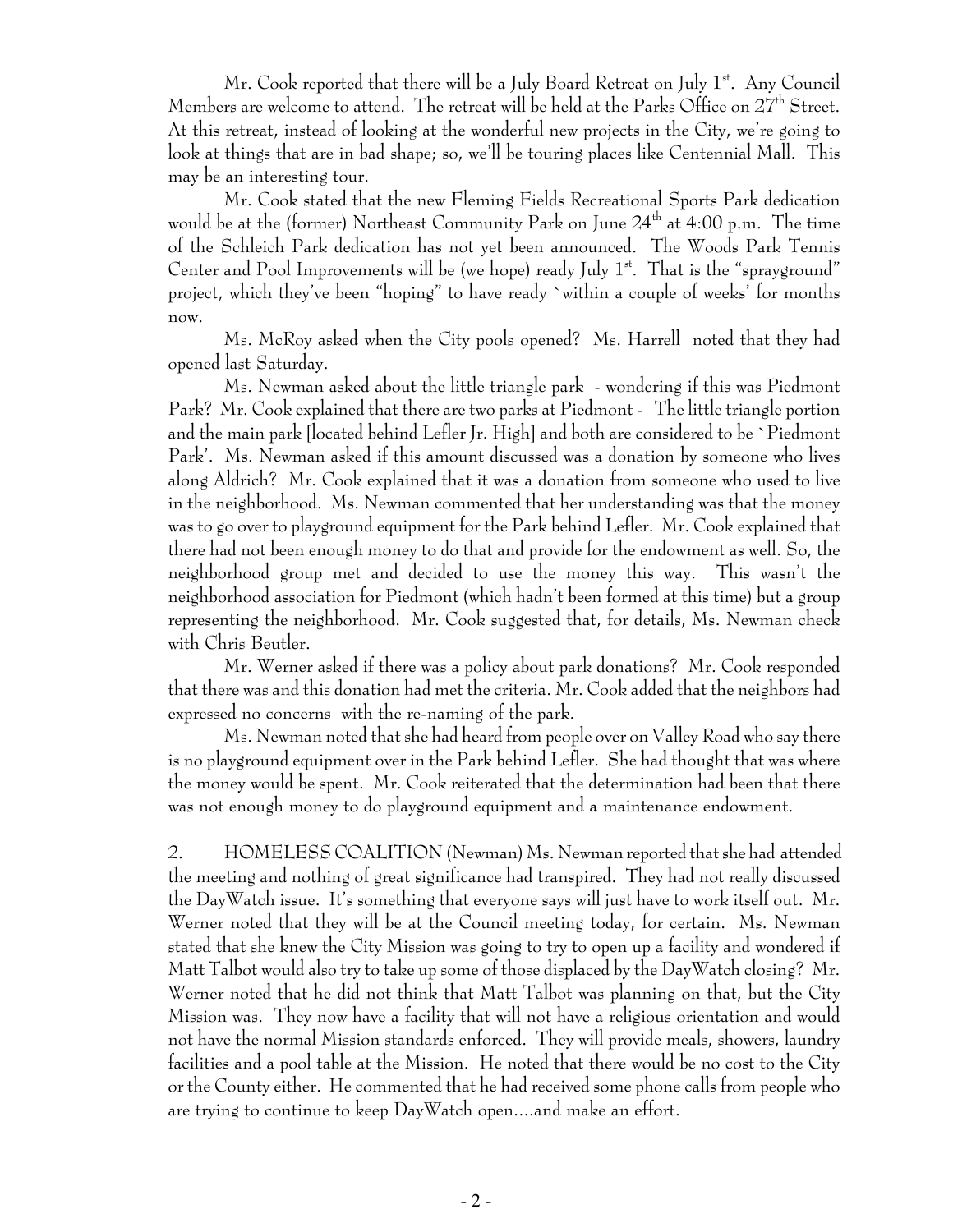Mr. Cook reported that there will be a July Board Retreat on July 1<sup>st</sup>. Any Council Members are welcome to attend. The retreat will be held at the Parks Office on  $27<sup>th</sup>$  Street. At this retreat, instead of looking at the wonderful new projects in the City, we're going to look at things that are in bad shape; so, we'll be touring places like Centennial Mall. This may be an interesting tour.

Mr. Cook stated that the new Fleming Fields Recreational Sports Park dedication would be at the (former) Northeast Community Park on June  $24<sup>th</sup>$  at 4:00 p.m. The time of the Schleich Park dedication has not yet been announced. The Woods Park Tennis Center and Pool Improvements will be (we hope) ready July  $1<sup>st</sup>$ . That is the "sprayground" project, which they've been "hoping" to have ready `within a couple of weeks' for months now.

Ms. McRoy asked when the City pools opened? Ms. Harrell noted that they had opened last Saturday.

Ms. Newman asked about the little triangle park - wondering if this was Piedmont Park? Mr. Cook explained that there are two parks at Piedmont - The little triangle portion and the main park [located behind Lefler Jr. High] and both are considered to be `Piedmont Park'. Ms. Newman asked if this amount discussed was a donation by someone who lives along Aldrich? Mr. Cook explained that it was a donation from someone who used to live in the neighborhood. Ms. Newman commented that her understanding was that the money was to go over to playground equipment for the Park behind Lefler. Mr. Cook explained that there had not been enough money to do that and provide for the endowment as well. So, the neighborhood group met and decided to use the money this way. This wasn't the neighborhood association for Piedmont (which hadn't been formed at this time) but a group representing the neighborhood. Mr. Cook suggested that, for details, Ms. Newman check with Chris Beutler.

Mr. Werner asked if there was a policy about park donations? Mr. Cook responded that there was and this donation had met the criteria. Mr. Cook added that the neighbors had expressed no concerns with the re-naming of the park.

Ms. Newman noted that she had heard from people over on Valley Road who say there is no playground equipment over in the Park behind Lefler. She had thought that was where the money would be spent. Mr. Cook reiterated that the determination had been that there was not enough money to do playground equipment and a maintenance endowment.

2. HOMELESS COALITION (Newman) Ms. Newman reported that she had attended the meeting and nothing of great significance had transpired. They had not really discussed the DayWatch issue. It's something that everyone says will just have to work itself out. Mr. Werner noted that they will be at the Council meeting today, for certain. Ms. Newman stated that she knew the City Mission was going to try to open up a facility and wondered if Matt Talbot would also try to take up some of those displaced by the DayWatch closing? Mr. Werner noted that he did not think that Matt Talbot was planning on that, but the City Mission was. They now have a facility that will not have a religious orientation and would not have the normal Mission standards enforced. They will provide meals, showers, laundry facilities and a pool table at the Mission. He noted that there would be no cost to the City or the County either. He commented that he had received some phone calls from people who are trying to continue to keep DayWatch open....and make an effort.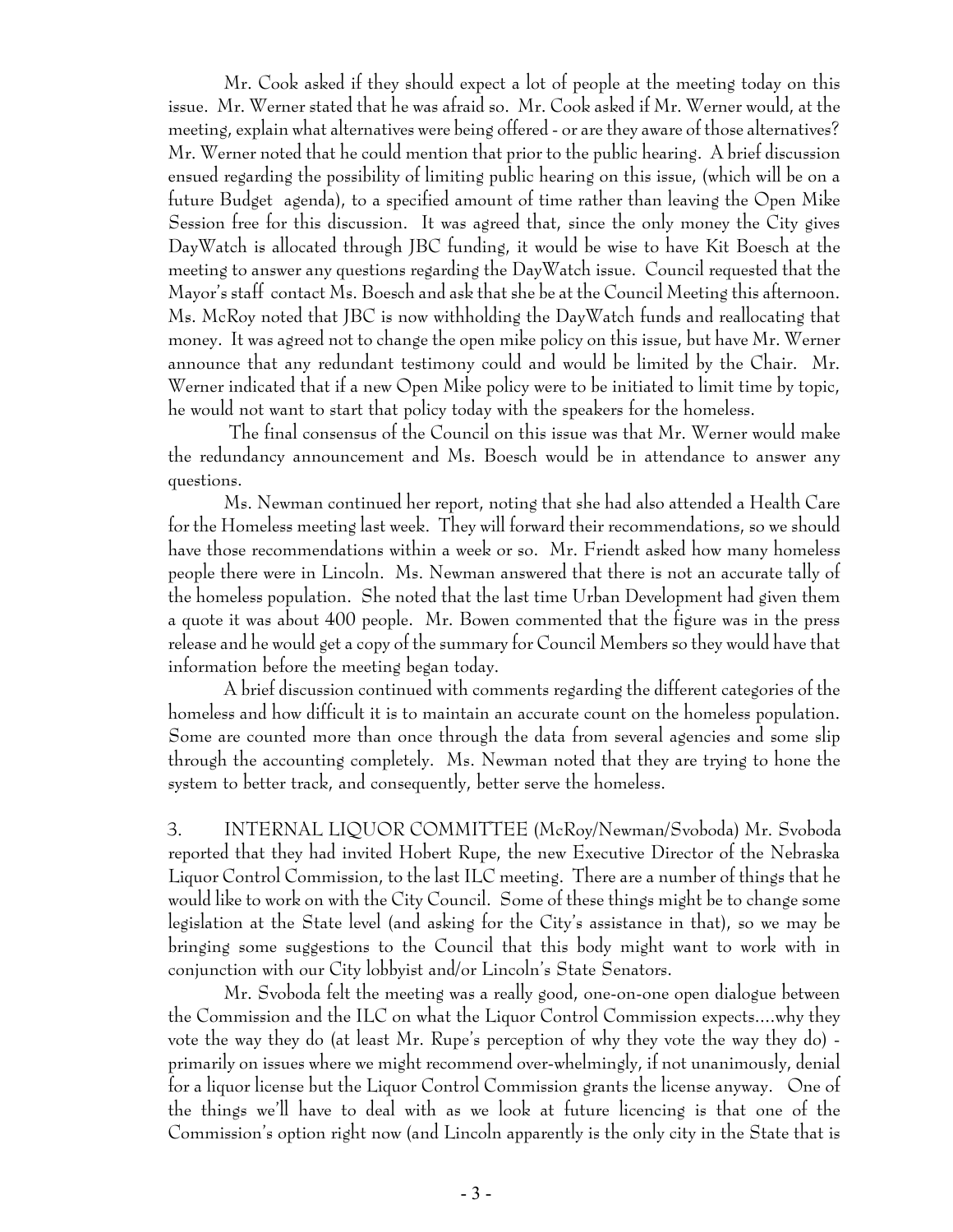Mr. Cook asked if they should expect a lot of people at the meeting today on this issue. Mr. Werner stated that he was afraid so. Mr. Cook asked if Mr. Werner would, at the meeting, explain what alternatives were being offered - or are they aware of those alternatives? Mr. Werner noted that he could mention that prior to the public hearing. A brief discussion ensued regarding the possibility of limiting public hearing on this issue, (which will be on a future Budget agenda), to a specified amount of time rather than leaving the Open Mike Session free for this discussion. It was agreed that, since the only money the City gives DayWatch is allocated through JBC funding, it would be wise to have Kit Boesch at the meeting to answer any questions regarding the DayWatch issue. Council requested that the Mayor's staff contact Ms. Boesch and ask that she be at the Council Meeting this afternoon. Ms. McRoy noted that JBC is now withholding the DayWatch funds and reallocating that money. It was agreed not to change the open mike policy on this issue, but have Mr. Werner announce that any redundant testimony could and would be limited by the Chair. Mr. Werner indicated that if a new Open Mike policy were to be initiated to limit time by topic, he would not want to start that policy today with the speakers for the homeless.

 The final consensus of the Council on this issue was that Mr. Werner would make the redundancy announcement and Ms. Boesch would be in attendance to answer any questions.

Ms. Newman continued her report, noting that she had also attended a Health Care for the Homeless meeting last week. They will forward their recommendations, so we should have those recommendations within a week or so. Mr. Friendt asked how many homeless people there were in Lincoln. Ms. Newman answered that there is not an accurate tally of the homeless population. She noted that the last time Urban Development had given them a quote it was about 400 people. Mr. Bowen commented that the figure was in the press release and he would get a copy of the summary for Council Members so they would have that information before the meeting began today.

A brief discussion continued with comments regarding the different categories of the homeless and how difficult it is to maintain an accurate count on the homeless population. Some are counted more than once through the data from several agencies and some slip through the accounting completely. Ms. Newman noted that they are trying to hone the system to better track, and consequently, better serve the homeless.

 3. INTERNAL LIQUOR COMMITTEE (McRoy/Newman/Svoboda) Mr. Svoboda reported that they had invited Hobert Rupe, the new Executive Director of the Nebraska Liquor Control Commission, to the last ILC meeting. There are a number of things that he would like to work on with the City Council. Some of these things might be to change some legislation at the State level (and asking for the City's assistance in that), so we may be bringing some suggestions to the Council that this body might want to work with in conjunction with our City lobbyist and/or Lincoln's State Senators.

Mr. Svoboda felt the meeting was a really good, one-on-one open dialogue between the Commission and the ILC on what the Liquor Control Commission expects....why they vote the way they do (at least Mr. Rupe's perception of why they vote the way they do) primarily on issues where we might recommend over-whelmingly, if not unanimously, denial for a liquor license but the Liquor Control Commission grants the license anyway. One of the things we'll have to deal with as we look at future licencing is that one of the Commission's option right now (and Lincoln apparently is the only city in the State that is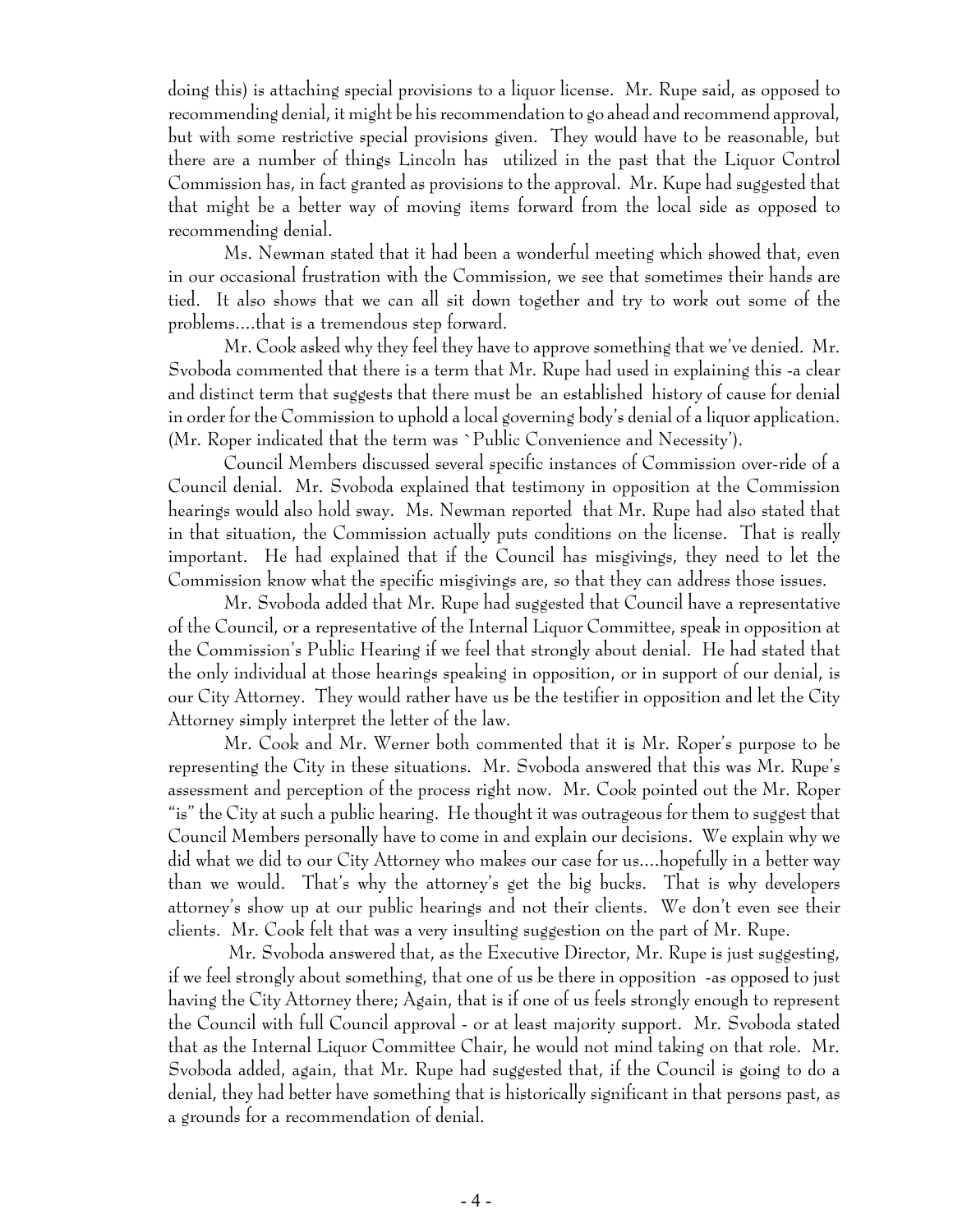doing this) is attaching special provisions to a liquor license. Mr. Rupe said, as opposed to recommending denial, it might be his recommendation to go ahead and recommend approval, but with some restrictive special provisions given. They would have to be reasonable, but there are a number of things Lincoln has utilized in the past that the Liquor Control Commission has, in fact granted as provisions to the approval. Mr. Kupe had suggested that that might be a better way of moving items forward from the local side as opposed to recommending denial.

Ms. Newman stated that it had been a wonderful meeting which showed that, even in our occasional frustration with the Commission, we see that sometimes their hands are tied. It also shows that we can all sit down together and try to work out some of the problems....that is a tremendous step forward.

Mr. Cook asked why they feel they have to approve something that we've denied. Mr. Svoboda commented that there is a term that Mr. Rupe had used in explaining this -a clear and distinct term that suggests that there must be an established history of cause for denial in order for the Commission to uphold a local governing body's denial of a liquor application. (Mr. Roper indicated that the term was `Public Convenience and Necessity').

Council Members discussed several specific instances of Commission over-ride of a Council denial. Mr. Svoboda explained that testimony in opposition at the Commission hearings would also hold sway. Ms. Newman reported that Mr. Rupe had also stated that in that situation, the Commission actually puts conditions on the license. That is really important. He had explained that if the Council has misgivings, they need to let the Commission know what the specific misgivings are, so that they can address those issues.

Mr. Svoboda added that Mr. Rupe had suggested that Council have a representative of the Council, or a representative of the Internal Liquor Committee, speak in opposition at the Commission's Public Hearing if we feel that strongly about denial. He had stated that the only individual at those hearings speaking in opposition, or in support of our denial, is our City Attorney. They would rather have us be the testifier in opposition and let the City Attorney simply interpret the letter of the law.

Mr. Cook and Mr. Werner both commented that it is Mr. Roper's purpose to be representing the City in these situations. Mr. Svoboda answered that this was Mr. Rupe's assessment and perception of the process right now. Mr. Cook pointed out the Mr. Roper "is" the City at such a public hearing. He thought it was outrageous for them to suggest that Council Members personally have to come in and explain our decisions. We explain why we did what we did to our City Attorney who makes our case for us....hopefully in a better way than we would. That's why the attorney's get the big bucks. That is why developers attorney's show up at our public hearings and not their clients. We don't even see their clients. Mr. Cook felt that was a very insulting suggestion on the part of Mr. Rupe.

 Mr. Svoboda answered that, as the Executive Director, Mr. Rupe is just suggesting, if we feel strongly about something, that one of us be there in opposition -as opposed to just having the City Attorney there; Again, that is if one of us feels strongly enough to represent the Council with full Council approval - or at least majority support. Mr. Svoboda stated that as the Internal Liquor Committee Chair, he would not mind taking on that role. Mr. Svoboda added, again, that Mr. Rupe had suggested that, if the Council is going to do a denial, they had better have something that is historically significant in that persons past, as a grounds for a recommendation of denial.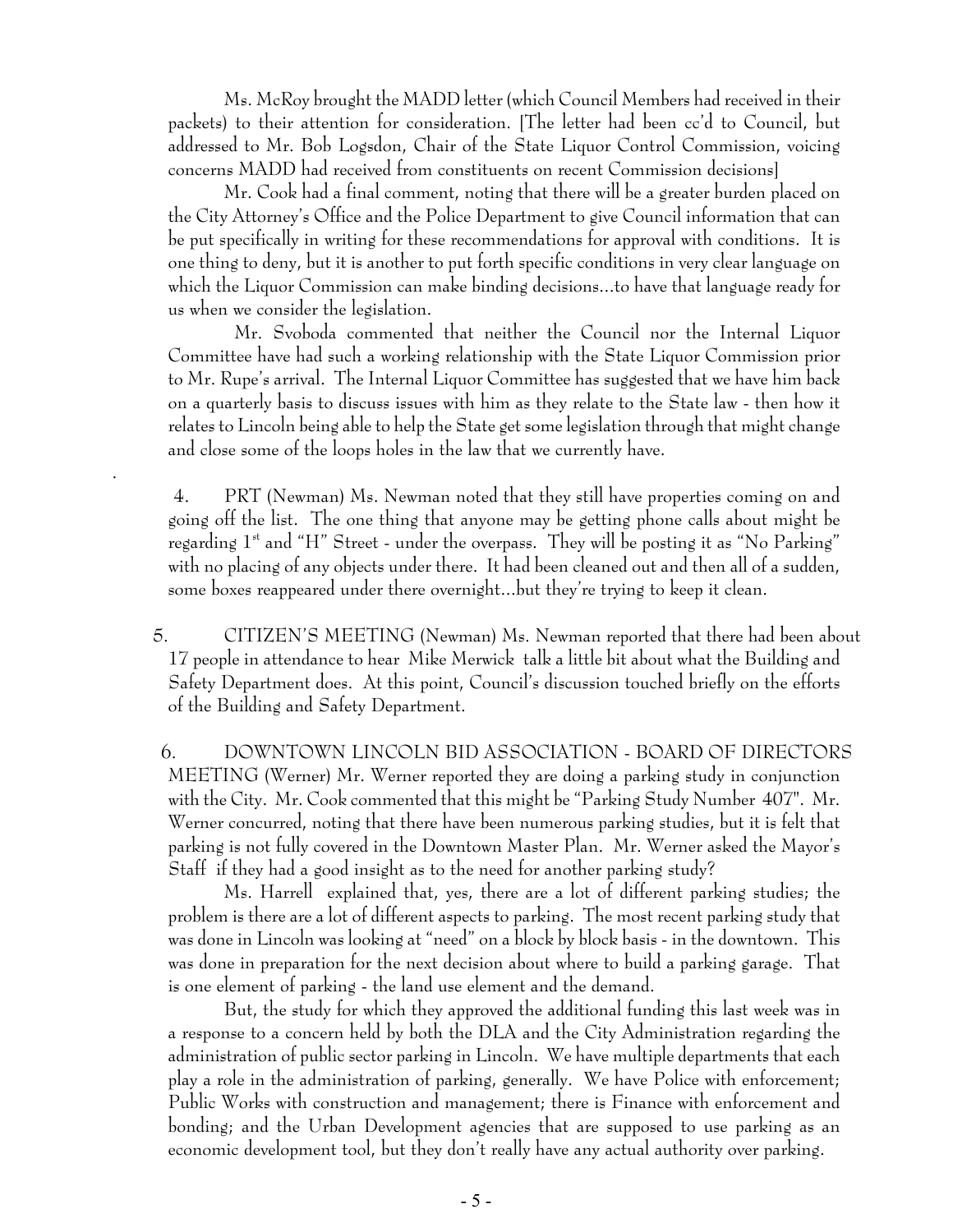Ms. McRoy brought the MADD letter (which Council Members had received in their packets) to their attention for consideration. [The letter had been cc'd to Council, but addressed to Mr. Bob Logsdon, Chair of the State Liquor Control Commission, voicing concerns MADD had received from constituents on recent Commission decisions]

Mr. Cook had a final comment, noting that there will be a greater burden placed on the City Attorney's Office and the Police Department to give Council information that can be put specifically in writing for these recommendations for approval with conditions. It is one thing to deny, but it is another to put forth specific conditions in very clear language on which the Liquor Commission can make binding decisions...to have that language ready for us when we consider the legislation.

 Mr. Svoboda commented that neither the Council nor the Internal Liquor Committee have had such a working relationship with the State Liquor Commission prior to Mr. Rupe's arrival. The Internal Liquor Committee has suggested that we have him back on a quarterly basis to discuss issues with him as they relate to the State law - then how it relates to Lincoln being able to help the State get some legislation through that might change and close some of the loops holes in the law that we currently have.

 4. PRT (Newman) Ms. Newman noted that they still have properties coming on and going off the list. The one thing that anyone may be getting phone calls about might be regarding  $1<sup>st</sup>$  and "H" Street - under the overpass. They will be posting it as "No Parking" with no placing of any objects under there. It had been cleaned out and then all of a sudden, some boxes reappeared under there overnight...but they're trying to keep it clean.

.

 5. CITIZEN'S MEETING (Newman) Ms. Newman reported that there had been about 17 people in attendance to hear Mike Merwick talk a little bit about what the Building and Safety Department does. At this point, Council's discussion touched briefly on the efforts of the Building and Safety Department.

 6. DOWNTOWN LINCOLN BID ASSOCIATION - BOARD OF DIRECTORS MEETING (Werner) Mr. Werner reported they are doing a parking study in conjunction with the City. Mr. Cook commented that this might be "Parking Study Number 407". Mr. Werner concurred, noting that there have been numerous parking studies, but it is felt that parking is not fully covered in the Downtown Master Plan. Mr. Werner asked the Mayor's Staff if they had a good insight as to the need for another parking study?

Ms. Harrell explained that, yes, there are a lot of different parking studies; the problem is there are a lot of different aspects to parking. The most recent parking study that was done in Lincoln was looking at "need" on a block by block basis - in the downtown. This was done in preparation for the next decision about where to build a parking garage. That is one element of parking - the land use element and the demand.

But, the study for which they approved the additional funding this last week was in a response to a concern held by both the DLA and the City Administration regarding the administration of public sector parking in Lincoln. We have multiple departments that each play a role in the administration of parking, generally. We have Police with enforcement; Public Works with construction and management; there is Finance with enforcement and bonding; and the Urban Development agencies that are supposed to use parking as an economic development tool, but they don't really have any actual authority over parking.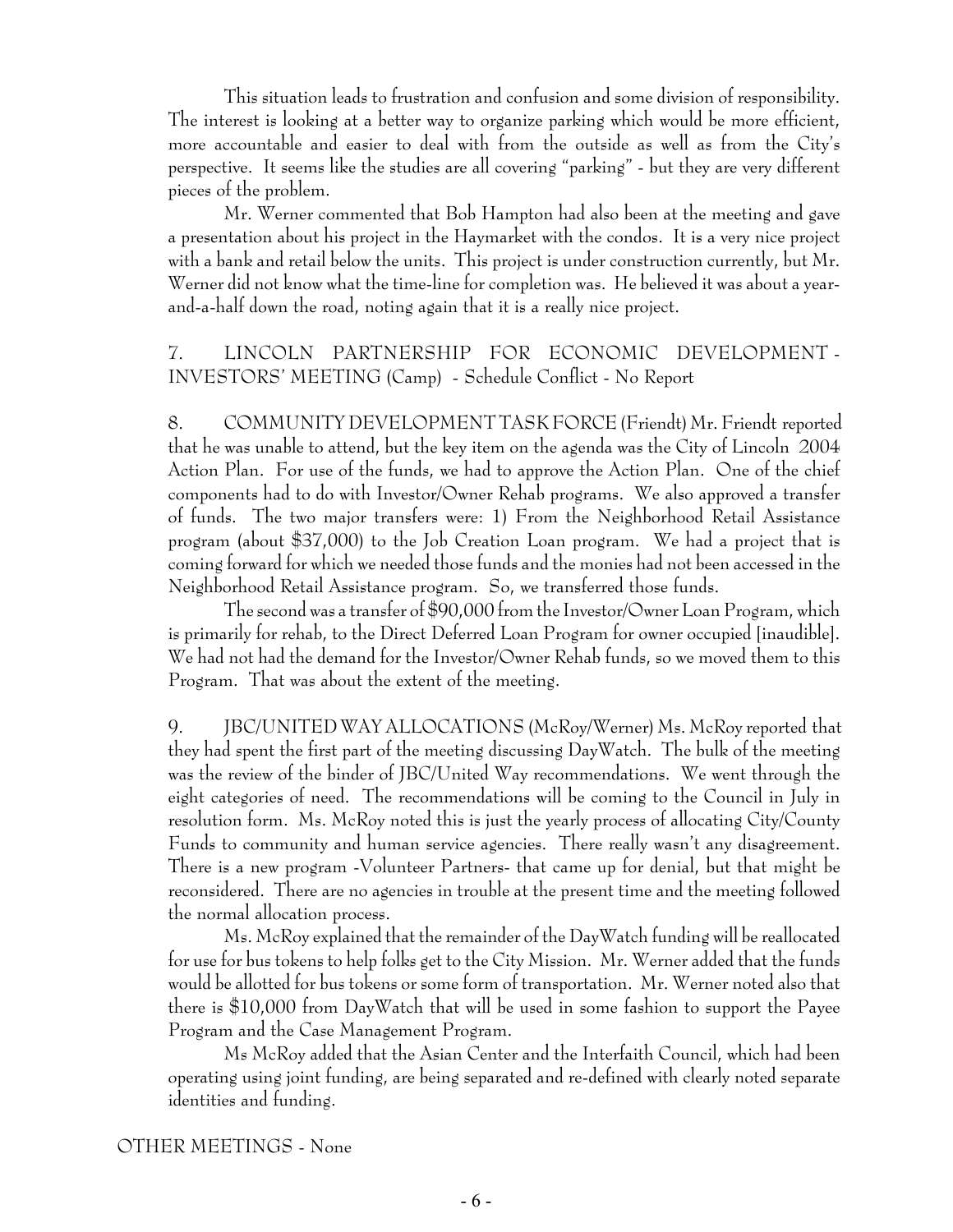This situation leads to frustration and confusion and some division of responsibility. The interest is looking at a better way to organize parking which would be more efficient, more accountable and easier to deal with from the outside as well as from the City's perspective. It seems like the studies are all covering "parking" - but they are very different pieces of the problem.

Mr. Werner commented that Bob Hampton had also been at the meeting and gave a presentation about his project in the Haymarket with the condos. It is a very nice project with a bank and retail below the units. This project is under construction currently, but Mr. Werner did not know what the time-line for completion was. He believed it was about a yearand-a-half down the road, noting again that it is a really nice project.

# 7. LINCOLN PARTNERSHIP FOR ECONOMIC DEVELOPMENT - INVESTORS' MEETING (Camp) - Schedule Conflict - No Report

8. COMMUNITY DEVELOPMENT TASK FORCE (Friendt) Mr. Friendt reported that he was unable to attend, but the key item on the agenda was the City of Lincoln 2004 Action Plan. For use of the funds, we had to approve the Action Plan. One of the chief components had to do with Investor/Owner Rehab programs. We also approved a transfer of funds. The two major transfers were: 1) From the Neighborhood Retail Assistance program (about \$37,000) to the Job Creation Loan program. We had a project that is coming forward for which we needed those funds and the monies had not been accessed in the Neighborhood Retail Assistance program. So, we transferred those funds.

The second was a transfer of \$90,000 from the Investor/Owner Loan Program, which is primarily for rehab, to the Direct Deferred Loan Program for owner occupied [inaudible]. We had not had the demand for the Investor/Owner Rehab funds, so we moved them to this Program. That was about the extent of the meeting.

9. JBC/UNITED WAY ALLOCATIONS (McRoy/Werner) Ms. McRoy reported that they had spent the first part of the meeting discussing DayWatch. The bulk of the meeting was the review of the binder of JBC/United Way recommendations. We went through the eight categories of need. The recommendations will be coming to the Council in July in resolution form. Ms. McRoy noted this is just the yearly process of allocating City/County Funds to community and human service agencies. There really wasn't any disagreement. There is a new program -Volunteer Partners- that came up for denial, but that might be reconsidered. There are no agencies in trouble at the present time and the meeting followed the normal allocation process.

Ms. McRoy explained that the remainder of the DayWatch funding will be reallocated for use for bus tokens to help folks get to the City Mission. Mr. Werner added that the funds would be allotted for bus tokens or some form of transportation. Mr. Werner noted also that there is \$10,000 from DayWatch that will be used in some fashion to support the Payee Program and the Case Management Program.

Ms McRoy added that the Asian Center and the Interfaith Council, which had been operating using joint funding, are being separated and re-defined with clearly noted separate identities and funding.

OTHER MEETINGS - None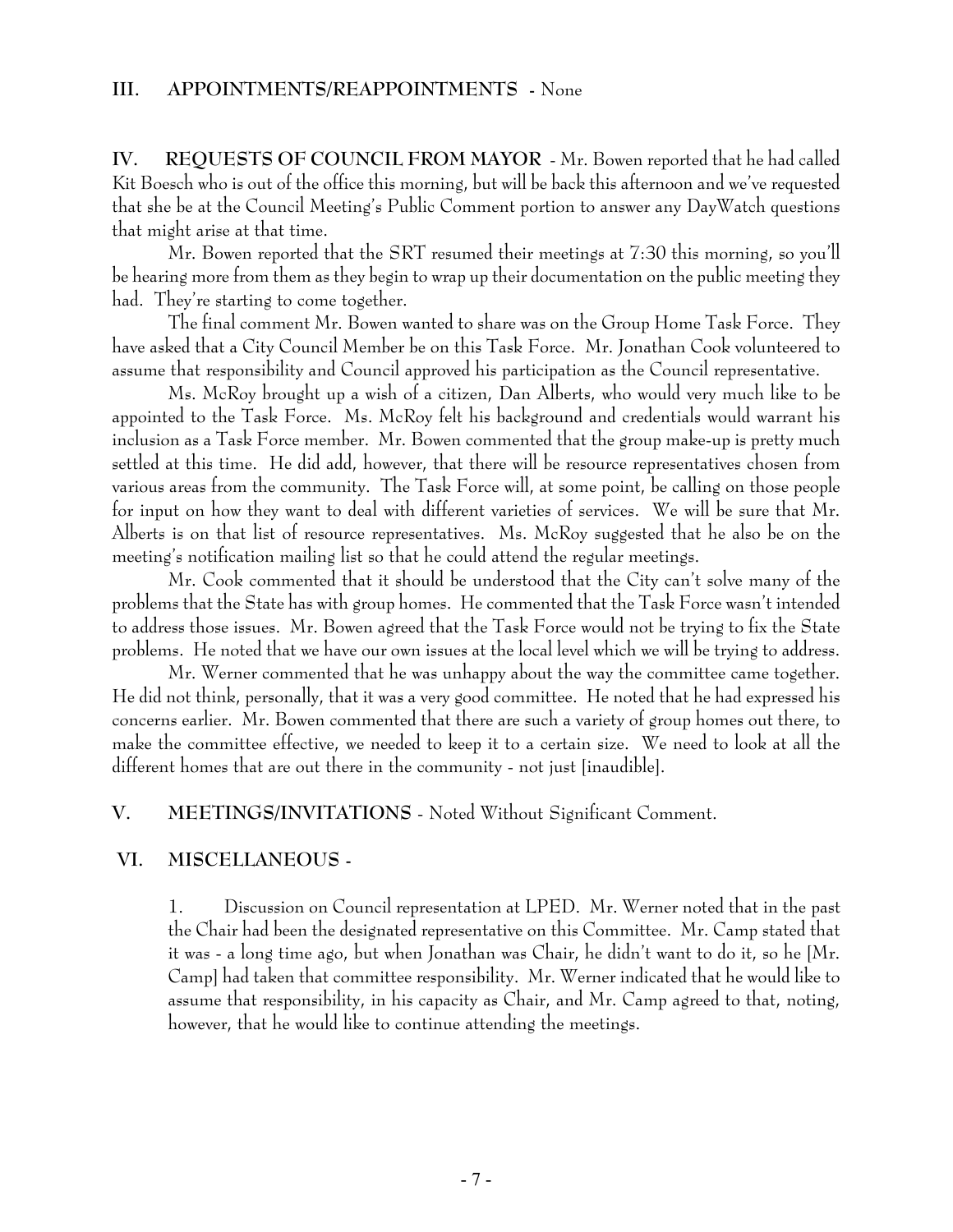**IV. REQUESTS OF COUNCIL FROM MAYOR** - Mr. Bowen reported that he had called Kit Boesch who is out of the office this morning, but will be back this afternoon and we've requested that she be at the Council Meeting's Public Comment portion to answer any DayWatch questions that might arise at that time.

Mr. Bowen reported that the SRT resumed their meetings at 7:30 this morning, so you'll be hearing more from them as they begin to wrap up their documentation on the public meeting they had. They're starting to come together.

The final comment Mr. Bowen wanted to share was on the Group Home Task Force. They have asked that a City Council Member be on this Task Force. Mr. Jonathan Cook volunteered to assume that responsibility and Council approved his participation as the Council representative.

Ms. McRoy brought up a wish of a citizen, Dan Alberts, who would very much like to be appointed to the Task Force. Ms. McRoy felt his background and credentials would warrant his inclusion as a Task Force member. Mr. Bowen commented that the group make-up is pretty much settled at this time. He did add, however, that there will be resource representatives chosen from various areas from the community. The Task Force will, at some point, be calling on those people for input on how they want to deal with different varieties of services. We will be sure that Mr. Alberts is on that list of resource representatives. Ms. McRoy suggested that he also be on the meeting's notification mailing list so that he could attend the regular meetings.

Mr. Cook commented that it should be understood that the City can't solve many of the problems that the State has with group homes. He commented that the Task Force wasn't intended to address those issues. Mr. Bowen agreed that the Task Force would not be trying to fix the State problems. He noted that we have our own issues at the local level which we will be trying to address.

Mr. Werner commented that he was unhappy about the way the committee came together. He did not think, personally, that it was a very good committee. He noted that he had expressed his concerns earlier. Mr. Bowen commented that there are such a variety of group homes out there, to make the committee effective, we needed to keep it to a certain size. We need to look at all the different homes that are out there in the community - not just [inaudible].

**V. MEETINGS/INVITATIONS** - Noted Without Significant Comment.

#### **VI. MISCELLANEOUS -**

1. Discussion on Council representation at LPED. Mr. Werner noted that in the past the Chair had been the designated representative on this Committee. Mr. Camp stated that it was - a long time ago, but when Jonathan was Chair, he didn't want to do it, so he [Mr. Camp] had taken that committee responsibility. Mr. Werner indicated that he would like to assume that responsibility, in his capacity as Chair, and Mr. Camp agreed to that, noting, however, that he would like to continue attending the meetings.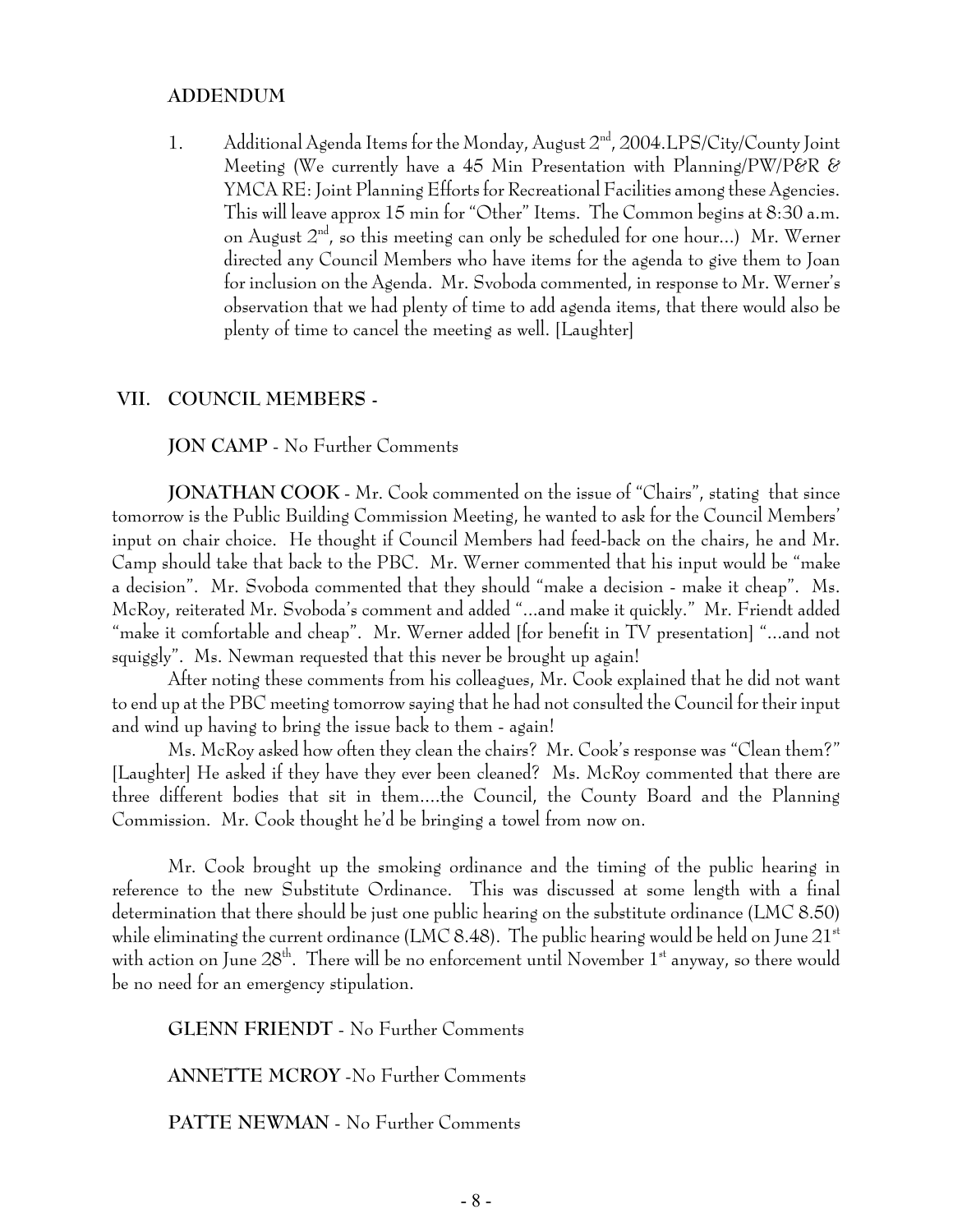#### **ADDENDUM**

1. Additional Agenda Items for the Monday, August 2<sup>nd</sup>, 2004.LPS/City/County Joint Meeting (We currently have a 45 Min Presentation with Planning/PW/P&R & YMCA RE: Joint Planning Efforts for Recreational Facilities among these Agencies. This will leave approx 15 min for "Other" Items. The Common begins at 8:30 a.m. on August  $2<sup>nd</sup>$ , so this meeting can only be scheduled for one hour...) Mr. Werner directed any Council Members who have items for the agenda to give them to Joan for inclusion on the Agenda. Mr. Svoboda commented, in response to Mr. Werner's observation that we had plenty of time to add agenda items, that there would also be plenty of time to cancel the meeting as well. [Laughter]

#### **VII. COUNCIL MEMBERS -**

**JON CAMP** - No Further Comments

**JONATHAN COOK** - Mr. Cook commented on the issue of "Chairs", stating that since tomorrow is the Public Building Commission Meeting, he wanted to ask for the Council Members' input on chair choice. He thought if Council Members had feed-back on the chairs, he and Mr. Camp should take that back to the PBC. Mr. Werner commented that his input would be "make a decision". Mr. Svoboda commented that they should "make a decision - make it cheap". Ms. McRoy, reiterated Mr. Svoboda's comment and added "...and make it quickly." Mr. Friendt added "make it comfortable and cheap". Mr. Werner added [for benefit in TV presentation] "...and not squiggly". Ms. Newman requested that this never be brought up again!

After noting these comments from his colleagues, Mr. Cook explained that he did not want to end up at the PBC meeting tomorrow saying that he had not consulted the Council for their input and wind up having to bring the issue back to them - again!

Ms. McRoy asked how often they clean the chairs? Mr. Cook's response was "Clean them?" [Laughter] He asked if they have they ever been cleaned? Ms. McRoy commented that there are three different bodies that sit in them....the Council, the County Board and the Planning Commission. Mr. Cook thought he'd be bringing a towel from now on.

Mr. Cook brought up the smoking ordinance and the timing of the public hearing in reference to the new Substitute Ordinance. This was discussed at some length with a final determination that there should be just one public hearing on the substitute ordinance (LMC 8.50) while eliminating the current ordinance (LMC 8.48). The public hearing would be held on June  $21^{st}$ with action on June  $28<sup>th</sup>$ . There will be no enforcement until November  $1<sup>st</sup>$  anyway, so there would be no need for an emergency stipulation.

**GLENN FRIENDT** - No Further Comments

**ANNETTE MCROY** -No Further Comments

**PATTE NEWMAN** - No Further Comments